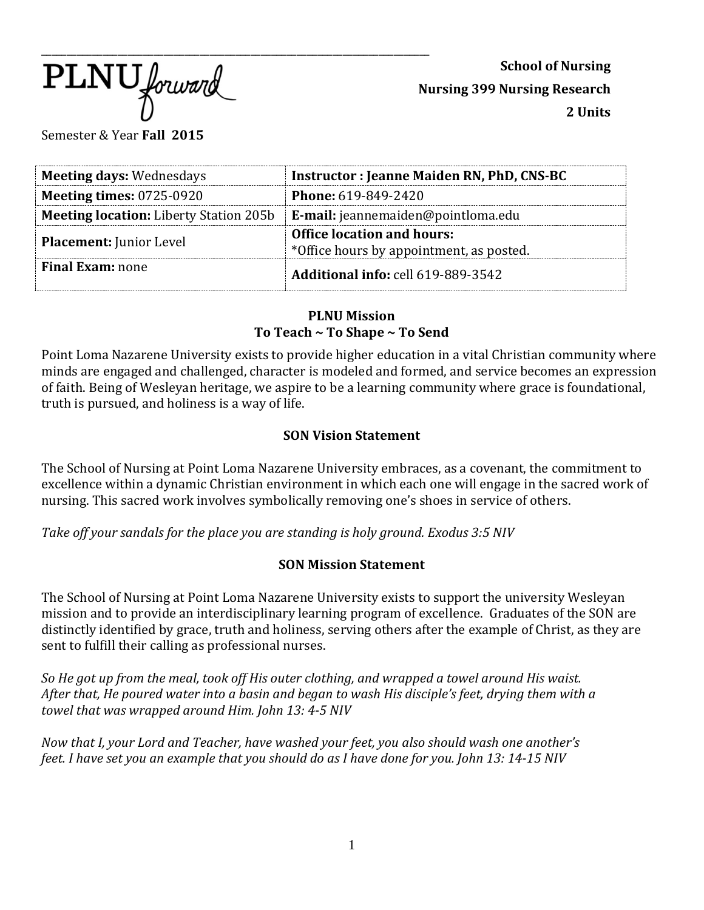$\overline{\text{PLNU}}$  forward

**School of Nursing Nursing 399 Nursing Research 2 Units**

Semester & Year **Fall 2015**

| <b>Meeting days: Wednesdays</b>               | <b>Instructor: Jeanne Maiden RN, PhD, CNS-BC</b>                              |
|-----------------------------------------------|-------------------------------------------------------------------------------|
| <b>Meeting times: 0725-0920</b>               | <b>Phone: 619-849-2420</b>                                                    |
| <b>Meeting location:</b> Liberty Station 205b | <b>E-mail:</b> jeannemaiden@pointloma.edu                                     |
| <b>Placement: Junior Level</b>                | <b>Office location and hours:</b><br>*Office hours by appointment, as posted. |
| <b>Final Exam:</b> none                       | <b>Additional info: cell 619-889-3542</b>                                     |

# **PLNU Mission To Teach ~ To Shape ~ To Send**

Point Loma Nazarene University exists to provide higher education in a vital Christian community where minds are engaged and challenged, character is modeled and formed, and service becomes an expression of faith. Being of Wesleyan heritage, we aspire to be a learning community where grace is foundational, truth is pursued, and holiness is a way of life.

# **SON Vision Statement**

The School of Nursing at Point Loma Nazarene University embraces, as a covenant, the commitment to excellence within a dynamic Christian environment in which each one will engage in the sacred work of nursing. This sacred work involves symbolically removing one's shoes in service of others.

*Take off your sandals for the place you are standing is holy ground. Exodus 3:5 NIV* 

# **SON Mission Statement**

The School of Nursing at Point Loma Nazarene University exists to support the university Wesleyan mission and to provide an interdisciplinary learning program of excellence. Graduates of the SON are distinctly identified by grace, truth and holiness, serving others after the example of Christ, as they are sent to fulfill their calling as professional nurses.

*So He got up from the meal, took off His outer clothing, and wrapped a towel around His waist. After that, He poured water into a basin and began to wash His disciple's feet, drying them with a towel that was wrapped around Him. John 13: 4-5 NIV* 

*Now that I, your Lord and Teacher, have washed your feet, you also should wash one another's feet. I have set you an example that you should do as I have done for you. John 13: 14-15 NIV*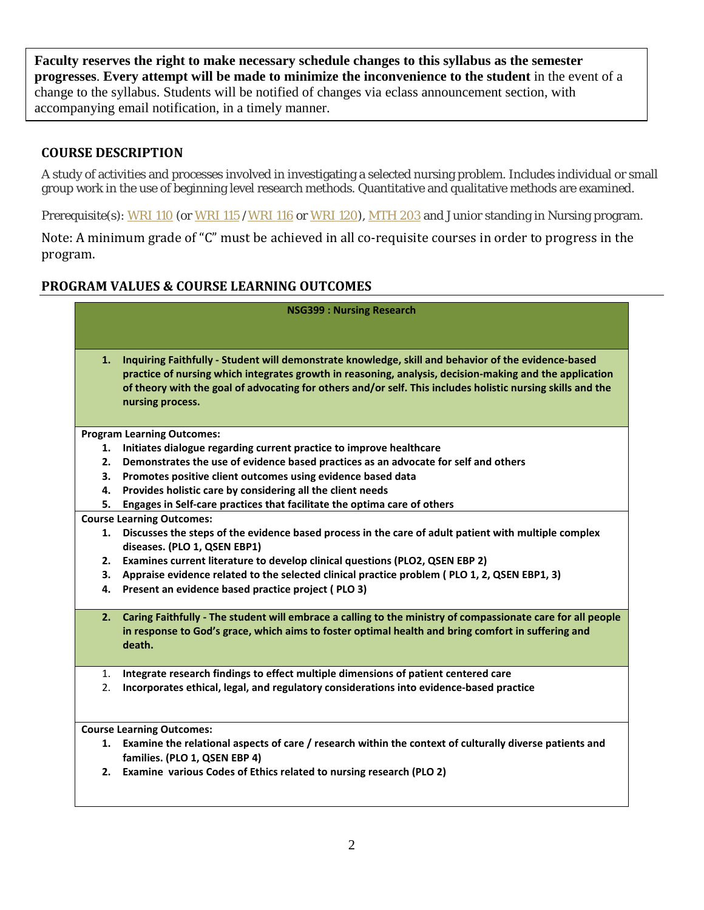**Faculty reserves the right to make necessary schedule changes to this syllabus as the semester progresses**. **Every attempt will be made to minimize the inconvenience to the student** in the event of a change to the syllabus. Students will be notified of changes via eclass announcement section, with accompanying email notification, in a timely manner.

# **COURSE DESCRIPTION**

A study of activities and processes involved in investigating a selected nursing problem. Includes individual or small group work in the use of beginning level research methods. Quantitative and qualitative methods are examined.

Prerequisite(s): [WRI 110](http://catalog.pointloma.edu/content.php?catoid=8&navoid=873%23tt4936) (or [WRI 115](http://catalog.pointloma.edu/content.php?catoid=8&navoid=873%23tt2740) [/WRI 116](http://catalog.pointloma.edu/content.php?catoid=8&navoid=873%23tt5132) or [WRI 120\)](http://catalog.pointloma.edu/content.php?catoid=8&navoid=873%23tt7544), [MTH 203](http://catalog.pointloma.edu/content.php?catoid=8&navoid=873%23tt9011) and Junior standing in Nursing program.

Note: A minimum grade of "C" must be achieved in all co-requisite courses in order to progress in the program.

# **PROGRAM VALUES & COURSE LEARNING OUTCOMES**

|    | <b>NSG399: Nursing Research</b>                                                                                                                                                                                                                                                                                                                   |  |  |  |  |
|----|---------------------------------------------------------------------------------------------------------------------------------------------------------------------------------------------------------------------------------------------------------------------------------------------------------------------------------------------------|--|--|--|--|
|    |                                                                                                                                                                                                                                                                                                                                                   |  |  |  |  |
| 1. | Inquiring Faithfully - Student will demonstrate knowledge, skill and behavior of the evidence-based<br>practice of nursing which integrates growth in reasoning, analysis, decision-making and the application<br>of theory with the goal of advocating for others and/or self. This includes holistic nursing skills and the<br>nursing process. |  |  |  |  |
|    | <b>Program Learning Outcomes:</b>                                                                                                                                                                                                                                                                                                                 |  |  |  |  |
| 1. | Initiates dialogue regarding current practice to improve healthcare                                                                                                                                                                                                                                                                               |  |  |  |  |
| 2. | Demonstrates the use of evidence based practices as an advocate for self and others                                                                                                                                                                                                                                                               |  |  |  |  |
| 3. | Promotes positive client outcomes using evidence based data                                                                                                                                                                                                                                                                                       |  |  |  |  |
| 4. | Provides holistic care by considering all the client needs                                                                                                                                                                                                                                                                                        |  |  |  |  |
| 5. | Engages in Self-care practices that facilitate the optima care of others                                                                                                                                                                                                                                                                          |  |  |  |  |
|    | <b>Course Learning Outcomes:</b>                                                                                                                                                                                                                                                                                                                  |  |  |  |  |
| 1. | Discusses the steps of the evidence based process in the care of adult patient with multiple complex<br>diseases. (PLO 1, QSEN EBP1)                                                                                                                                                                                                              |  |  |  |  |
| 2. | Examines current literature to develop clinical questions (PLO2, QSEN EBP 2)                                                                                                                                                                                                                                                                      |  |  |  |  |
| 3. | Appraise evidence related to the selected clinical practice problem (PLO 1, 2, QSEN EBP1, 3)                                                                                                                                                                                                                                                      |  |  |  |  |
| 4. | Present an evidence based practice project (PLO 3)                                                                                                                                                                                                                                                                                                |  |  |  |  |
| 2. | Caring Faithfully - The student will embrace a calling to the ministry of compassionate care for all people<br>in response to God's grace, which aims to foster optimal health and bring comfort in suffering and<br>death.                                                                                                                       |  |  |  |  |
| 1. | Integrate research findings to effect multiple dimensions of patient centered care                                                                                                                                                                                                                                                                |  |  |  |  |
| 2. | Incorporates ethical, legal, and regulatory considerations into evidence-based practice                                                                                                                                                                                                                                                           |  |  |  |  |
|    | <b>Course Learning Outcomes:</b>                                                                                                                                                                                                                                                                                                                  |  |  |  |  |
| 1. | Examine the relational aspects of care / research within the context of culturally diverse patients and<br>families. (PLO 1, QSEN EBP 4)                                                                                                                                                                                                          |  |  |  |  |
| 2. | Examine various Codes of Ethics related to nursing research (PLO 2)                                                                                                                                                                                                                                                                               |  |  |  |  |
|    |                                                                                                                                                                                                                                                                                                                                                   |  |  |  |  |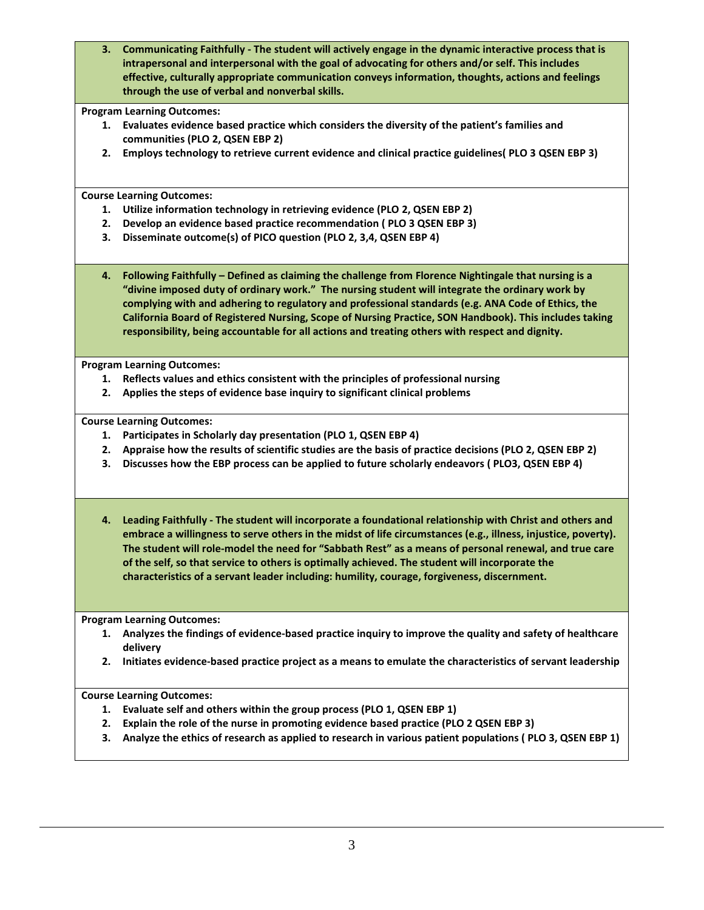**3. Communicating Faithfully - The student will actively engage in the dynamic interactive process that is intrapersonal and interpersonal with the goal of advocating for others and/or self. This includes effective, culturally appropriate communication conveys information, thoughts, actions and feelings through the use of verbal and nonverbal skills.**

#### **Program Learning Outcomes:**

- **1. Evaluates evidence based practice which considers the diversity of the patient's families and communities (PLO 2, QSEN EBP 2)**
- **2. Employs technology to retrieve current evidence and clinical practice guidelines( PLO 3 QSEN EBP 3)**

**Course Learning Outcomes:**

- **1. Utilize information technology in retrieving evidence (PLO 2, QSEN EBP 2)**
- **2. Develop an evidence based practice recommendation ( PLO 3 QSEN EBP 3)**
- **3. Disseminate outcome(s) of PICO question (PLO 2, 3,4, QSEN EBP 4)**
- **4. Following Faithfully – Defined as claiming the challenge from Florence Nightingale that nursing is a "divine imposed duty of ordinary work." The nursing student will integrate the ordinary work by complying with and adhering to regulatory and professional standards (e.g. ANA Code of Ethics, the California Board of Registered Nursing, Scope of Nursing Practice, SON Handbook). This includes taking responsibility, being accountable for all actions and treating others with respect and dignity.**

**Program Learning Outcomes:**

- **1. Reflects values and ethics consistent with the principles of professional nursing**
- **2. Applies the steps of evidence base inquiry to significant clinical problems**

**Course Learning Outcomes:**

- **1. Participates in Scholarly day presentation (PLO 1, QSEN EBP 4)**
- **2. Appraise how the results of scientific studies are the basis of practice decisions (PLO 2, QSEN EBP 2)**
- **3. Discusses how the EBP process can be applied to future scholarly endeavors ( PLO3, QSEN EBP 4)**
- **4. Leading Faithfully - The student will incorporate a foundational relationship with Christ and others and embrace a willingness to serve others in the midst of life circumstances (e.g., illness, injustice, poverty). The student will role-model the need for "Sabbath Rest" as a means of personal renewal, and true care of the self, so that service to others is optimally achieved. The student will incorporate the characteristics of a servant leader including: humility, courage, forgiveness, discernment.**

**Program Learning Outcomes:**

- **1. Analyzes the findings of evidence-based practice inquiry to improve the quality and safety of healthcare delivery**
- **2. Initiates evidence-based practice project as a means to emulate the characteristics of servant leadership**

#### **Course Learning Outcomes:**

- **1. Evaluate self and others within the group process (PLO 1, QSEN EBP 1)**
- **2. Explain the role of the nurse in promoting evidence based practice (PLO 2 QSEN EBP 3)**
- **3. Analyze the ethics of research as applied to research in various patient populations ( PLO 3, QSEN EBP 1)**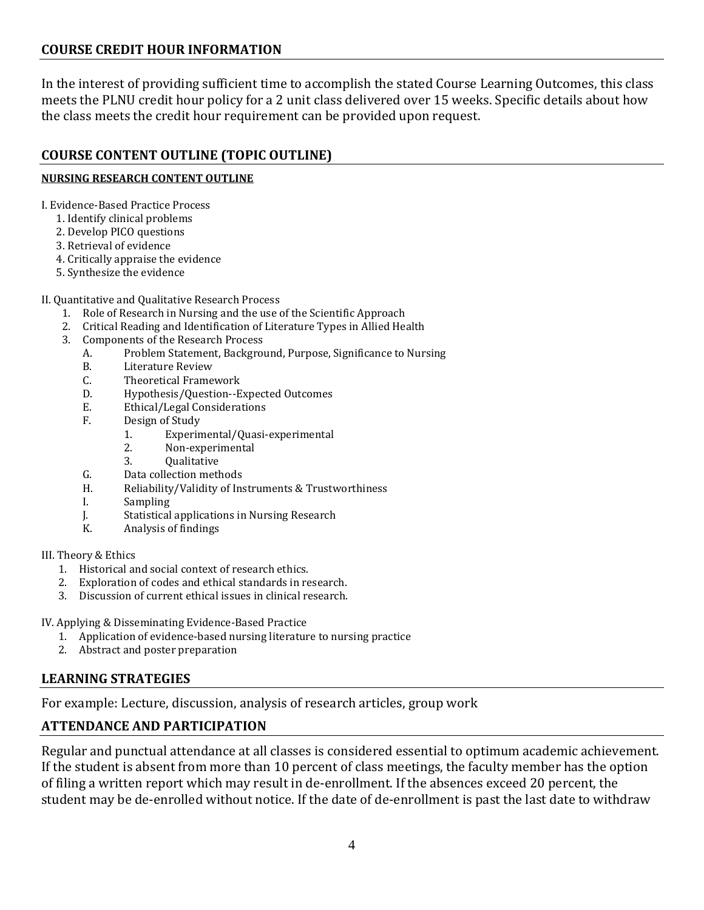# **COURSE CREDIT HOUR INFORMATION**

In the interest of providing sufficient time to accomplish the stated Course Learning Outcomes, this class meets the PLNU credit hour policy for a 2 unit class delivered over 15 weeks. Specific details about how the class meets the credit hour requirement can be provided upon request.

# **COURSE CONTENT OUTLINE (TOPIC OUTLINE)**

### **NURSING RESEARCH CONTENT OUTLINE**

I. Evidence-Based Practice Process

- 1. Identify clinical problems
- 2. Develop PICO questions
- 3. Retrieval of evidence
- 4. Critically appraise the evidence
- 5. Synthesize the evidence

### II. Quantitative and Qualitative Research Process

- 1. Role of Research in Nursing and the use of the Scientific Approach
- 2. Critical Reading and Identification of Literature Types in Allied Health
- 3. Components of the Research Process<br>A. Problem Statement, Backgrou
	- A. Problem Statement, Background, Purpose, Significance to Nursing
	- B. Literature Review<br>C. Theoretical Frame
	- C. Theoretical Framework<br>D. Hypothesis/Ouestion--E
	- D. Hypothesis/Question--Expected Outcomes<br>E. Ethical/Legal Considerations
	- E. Ethical/Legal Considerations<br>F. Design of Study
	- Design of Study<br>1. Experim
		- 1. Experimental/Quasi-experimental
		- 2. Non-experimental<br>3. Oualitative
			- **Oualitative**
	- G. Data collection methods<br>H. Reliability/Validity of In:
	- H. Reliability/Validity of Instruments & Trustworthiness
	- I. Sampling<br>
	I. Statistical
	- J. Statistical applications in Nursing Research
	- Analysis of findings

### III. Theory & Ethics

- 1. Historical and social context of research ethics.
- 2. Exploration of codes and ethical standards in research.
- 3. Discussion of current ethical issues in clinical research.

IV. Applying & Disseminating Evidence-Based Practice

- 1. Application of evidence-based nursing literature to nursing practice
- 2. Abstract and poster preparation

# **LEARNING STRATEGIES**

For example: Lecture, discussion, analysis of research articles, group work

# **ATTENDANCE AND PARTICIPATION**

Regular and punctual attendance at all classes is considered essential to optimum academic achievement. If the student is absent from more than 10 percent of class meetings, the faculty member has the option of filing a written report which may result in de-enrollment. If the absences exceed 20 percent, the student may be de-enrolled without notice. If the date of de-enrollment is past the last date to withdraw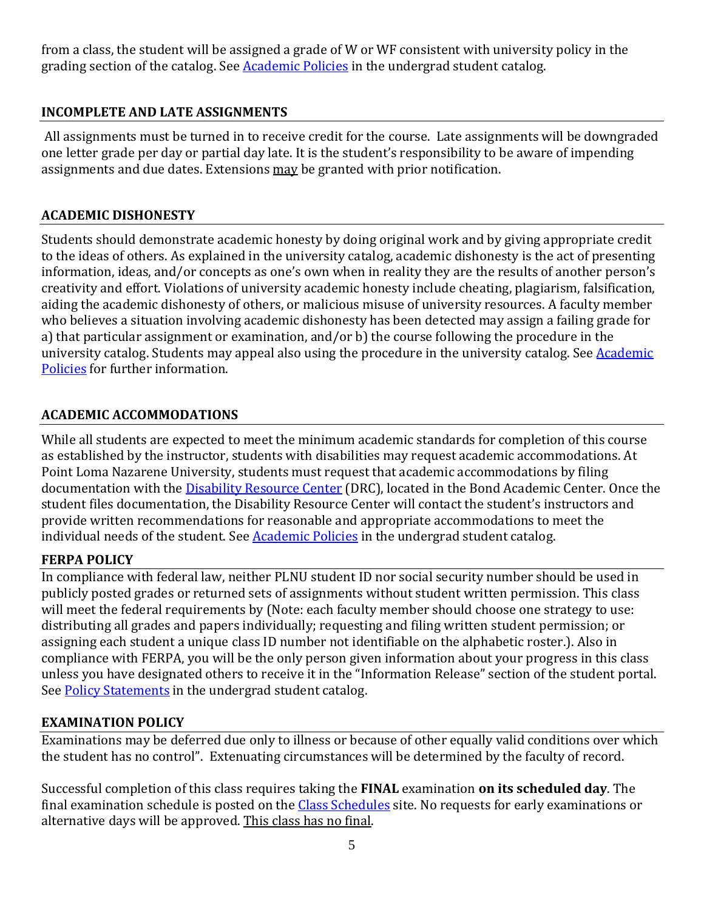from a class, the student will be assigned a grade of W or WF consistent with university policy in the grading section of the catalog. See [Academic Policies](http://www.pointloma.edu/experience/academics/catalogs/undergraduate-catalog/point-loma-education/academic-policies) in the undergrad student catalog.

# **INCOMPLETE AND LATE ASSIGNMENTS**

All assignments must be turned in to receive credit for the course. Late assignments will be downgraded one letter grade per day or partial day late. It is the student's responsibility to be aware of impending assignments and due dates. Extensions may be granted with prior notification.

# **ACADEMIC DISHONESTY**

Students should demonstrate academic honesty by doing original work and by giving appropriate credit to the ideas of others. As explained in the university catalog, academic dishonesty is the act of presenting information, ideas, and/or concepts as one's own when in reality they are the results of another person's creativity and effort. Violations of university academic honesty include cheating, plagiarism, falsification, aiding the academic dishonesty of others, or malicious misuse of university resources. A faculty member who believes a situation involving academic dishonesty has been detected may assign a failing grade for a) that particular assignment or examination, and/or b) the course following the procedure in the university catalog. Students may appeal also using the procedure in the university catalog. See **Academic** [Policies](http://www.pointloma.edu/experience/academics/catalogs/undergraduate-catalog/point-loma-education/academic-policies) for further information.

# **ACADEMIC ACCOMMODATIONS**

While all students are expected to meet the minimum academic standards for completion of this course as established by the instructor, students with disabilities may request academic accommodations. At Point Loma Nazarene University, students must request that academic accommodations by filing documentation with the [Disability Resource Center](http://www.pointloma.edu/experience/offices/administrative-offices/academic-advising-office/disability-resource-center) (DRC), located in the Bond Academic Center. Once the student files documentation, the Disability Resource Center will contact the student's instructors and provide written recommendations for reasonable and appropriate accommodations to meet the individual needs of the student. Se[e Academic Policies](http://www.pointloma.edu/experience/academics/catalogs/undergraduate-catalog/point-loma-education/academic-policies) in the undergrad student catalog.

# **FERPA POLICY**

In compliance with federal law, neither PLNU student ID nor social security number should be used in publicly posted grades or returned sets of assignments without student written permission. This class will meet the federal requirements by (Note: each faculty member should choose one strategy to use: distributing all grades and papers individually; requesting and filing written student permission; or assigning each student a unique class ID number not identifiable on the alphabetic roster.). Also in compliance with FERPA, you will be the only person given information about your progress in this class unless you have designated others to receive it in the "Information Release" section of the student portal. See [Policy Statements](http://www.pointloma.edu/experience/academics/catalogs/undergraduate-catalog/policy-statements) in the undergrad student catalog.

# **EXAMINATION POLICY**

Examinations may be deferred due only to illness or because of other equally valid conditions over which the student has no control". Extenuating circumstances will be determined by the faculty of record.

Successful completion of this class requires taking the **FINAL** examination **on its scheduled day**. The final examination schedule is posted on the [Class Schedules](http://www.pointloma.edu/experience/academics/class-schedules) site. No requests for early examinations or alternative days will be approved. This class has no final.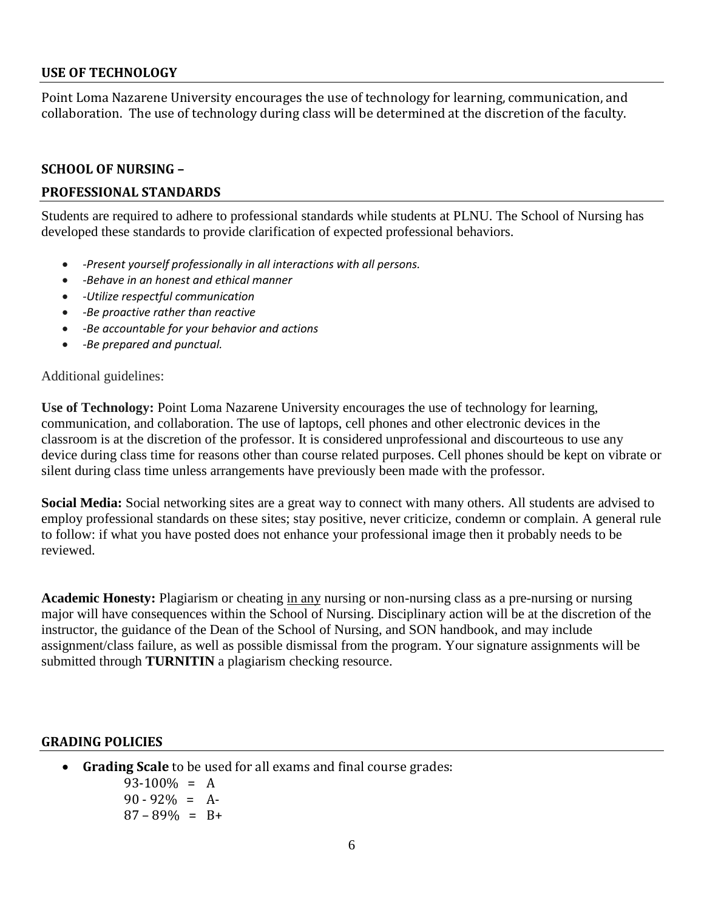### **USE OF TECHNOLOGY**

Point Loma Nazarene University encourages the use of technology for learning, communication, and collaboration. The use of technology during class will be determined at the discretion of the faculty.

### **SCHOOL OF NURSING –**

### **PROFESSIONAL STANDARDS**

Students are required to adhere to professional standards while students at PLNU. The School of Nursing has developed these standards to provide clarification of expected professional behaviors.

- *-Present yourself professionally in all interactions with all persons.*
- *-Behave in an honest and ethical manner*
- *-Utilize respectful communication*
- *-Be proactive rather than reactive*
- *-Be accountable for your behavior and actions*
- *-Be prepared and punctual.*

### Additional guidelines:

**Use of Technology:** Point Loma Nazarene University encourages the use of technology for learning, communication, and collaboration. The use of laptops, cell phones and other electronic devices in the classroom is at the discretion of the professor. It is considered unprofessional and discourteous to use any device during class time for reasons other than course related purposes. Cell phones should be kept on vibrate or silent during class time unless arrangements have previously been made with the professor.

**Social Media:** Social networking sites are a great way to connect with many others. All students are advised to employ professional standards on these sites; stay positive, never criticize, condemn or complain. A general rule to follow: if what you have posted does not enhance your professional image then it probably needs to be reviewed.

**Academic Honesty:** Plagiarism or cheating in any nursing or non-nursing class as a pre-nursing or nursing major will have consequences within the School of Nursing. Disciplinary action will be at the discretion of the instructor, the guidance of the Dean of the School of Nursing, and SON handbook, and may include assignment/class failure, as well as possible dismissal from the program. Your signature assignments will be submitted through **TURNITIN** a plagiarism checking resource.

### **GRADING POLICIES**

• **Grading Scale** to be used for all exams and final course grades:

 $93-100\% = A$  $90 - 92\% = A$  $87 - 89\% = B +$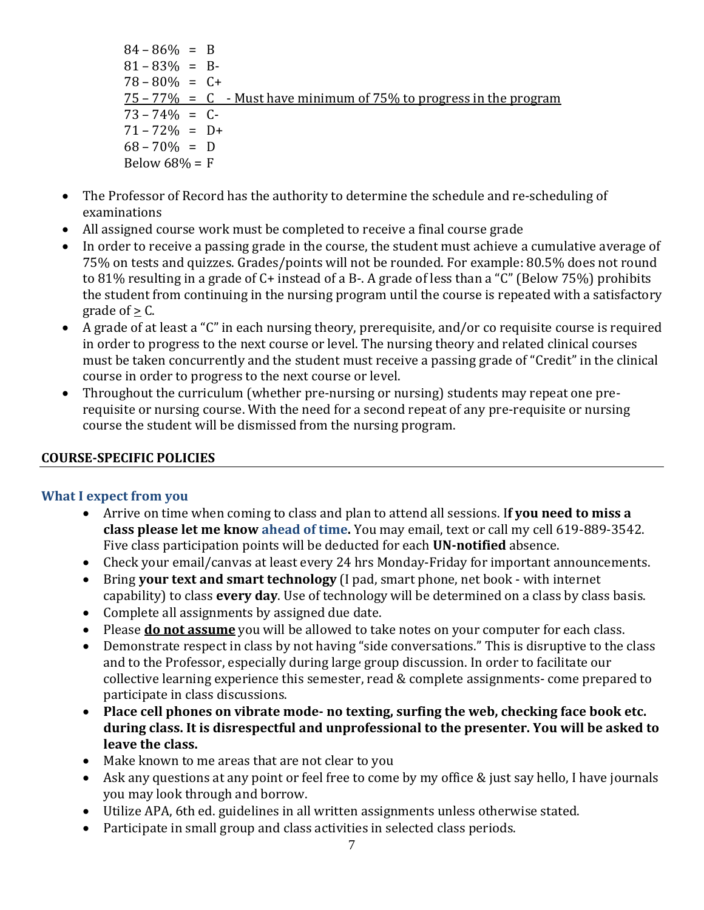- $84 86\% = B$  $81 - 83\% = B$  $78 - 80\% = C +$  $75 - 77\% = C$  - Must have minimum of 75% to progress in the program  $73 - 74\% = C$  $71 - 72\% = D+$  $68 - 70\% = D$ Below  $68\% = F$
- The Professor of Record has the authority to determine the schedule and re-scheduling of examinations
- All assigned course work must be completed to receive a final course grade
- In order to receive a passing grade in the course, the student must achieve a cumulative average of 75% on tests and quizzes. Grades/points will not be rounded. For example: 80.5% does not round to 81% resulting in a grade of C+ instead of a B-. A grade of less than a "C" (Below 75%) prohibits the student from continuing in the nursing program until the course is repeated with a satisfactory grade of  $> C$ .
- A grade of at least a "C" in each nursing theory, prerequisite, and/or co requisite course is required in order to progress to the next course or level. The nursing theory and related clinical courses must be taken concurrently and the student must receive a passing grade of "Credit" in the clinical course in order to progress to the next course or level.
- Throughout the curriculum (whether pre-nursing or nursing) students may repeat one prerequisite or nursing course. With the need for a second repeat of any pre-requisite or nursing course the student will be dismissed from the nursing program.

# **COURSE-SPECIFIC POLICIES**

# **What I expect from you**

- Arrive on time when coming to class and plan to attend all sessions. I**f you need to miss a class please let me know ahead of time.** You may email, text or call my cell 619-889-3542. Five class participation points will be deducted for each **UN-notified** absence.
- Check your email/canvas at least every 24 hrs Monday-Friday for important announcements.
- Bring **your text and smart technology** (I pad, smart phone, net book with internet capability) to class **every day**. Use of technology will be determined on a class by class basis.
- Complete all assignments by assigned due date.
- Please **do not assume** you will be allowed to take notes on your computer for each class.
- Demonstrate respect in class by not having "side conversations." This is disruptive to the class and to the Professor, especially during large group discussion. In order to facilitate our collective learning experience this semester, read & complete assignments- come prepared to participate in class discussions.
- **Place cell phones on vibrate mode- no texting, surfing the web, checking face book etc. during class. It is disrespectful and unprofessional to the presenter. You will be asked to leave the class.**
- Make known to me areas that are not clear to you
- Ask any questions at any point or feel free to come by my office & just say hello, I have journals you may look through and borrow.
- Utilize APA, 6th ed. guidelines in all written assignments unless otherwise stated.
- Participate in small group and class activities in selected class periods.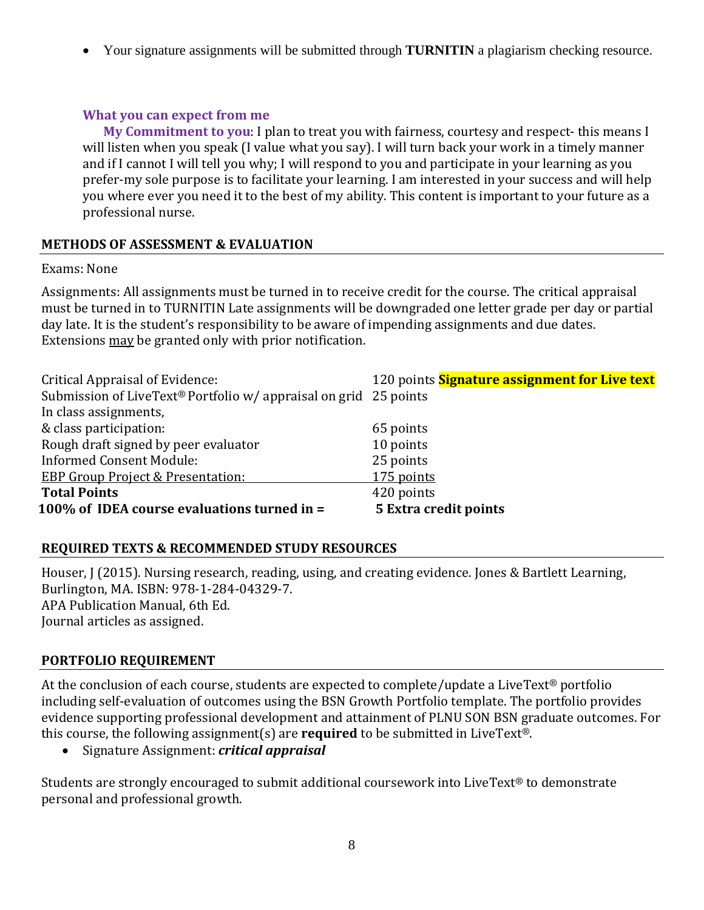• Your signature assignments will be submitted through **TURNITIN** a plagiarism checking resource.

# **What you can expect from me**

**My Commitment to you**: I plan to treat you with fairness, courtesy and respect- this means I will listen when you speak (I value what you say). I will turn back your work in a timely manner and if I cannot I will tell you why; I will respond to you and participate in your learning as you prefer-my sole purpose is to facilitate your learning. I am interested in your success and will help you where ever you need it to the best of my ability. This content is important to your future as a professional nurse.

# **METHODS OF ASSESSMENT & EVALUATION**

# Exams: None

Assignments: All assignments must be turned in to receive credit for the course. The critical appraisal must be turned in to TURNITIN Late assignments will be downgraded one letter grade per day or partial day late. It is the student's responsibility to be aware of impending assignments and due dates. Extensions may be granted only with prior notification.

| Critical Appraisal of Evidence:                                  | 120 points <b>Signature assignment for Live text</b> |
|------------------------------------------------------------------|------------------------------------------------------|
| Submission of LiveText® Portfolio w/ appraisal on grid 25 points |                                                      |
| In class assignments,                                            |                                                      |
| & class participation:                                           | 65 points                                            |
| Rough draft signed by peer evaluator                             | 10 points                                            |
| <b>Informed Consent Module:</b>                                  | 25 points                                            |
| <b>EBP Group Project &amp; Presentation:</b>                     | 175 points                                           |
| <b>Total Points</b>                                              | 420 points                                           |
| 100% of IDEA course evaluations turned in =                      | <b>5 Extra credit points</b>                         |

# **REQUIRED TEXTS & RECOMMENDED STUDY RESOURCES**

Houser, J (2015). Nursing research, reading, using, and creating evidence. Jones & Bartlett Learning, Burlington, MA. ISBN: 978-1-284-04329-7. APA Publication Manual, 6th Ed. Journal articles as assigned.

# **PORTFOLIO REQUIREMENT**

At the conclusion of each course, students are expected to complete/update a LiveText® portfolio including self-evaluation of outcomes using the BSN Growth Portfolio template. The portfolio provides evidence supporting professional development and attainment of PLNU SON BSN graduate outcomes. For this course, the following assignment(s) are **required** to be submitted in LiveText®.

• Signature Assignment: *critical appraisal*

Students are strongly encouraged to submit additional coursework into LiveText® to demonstrate personal and professional growth.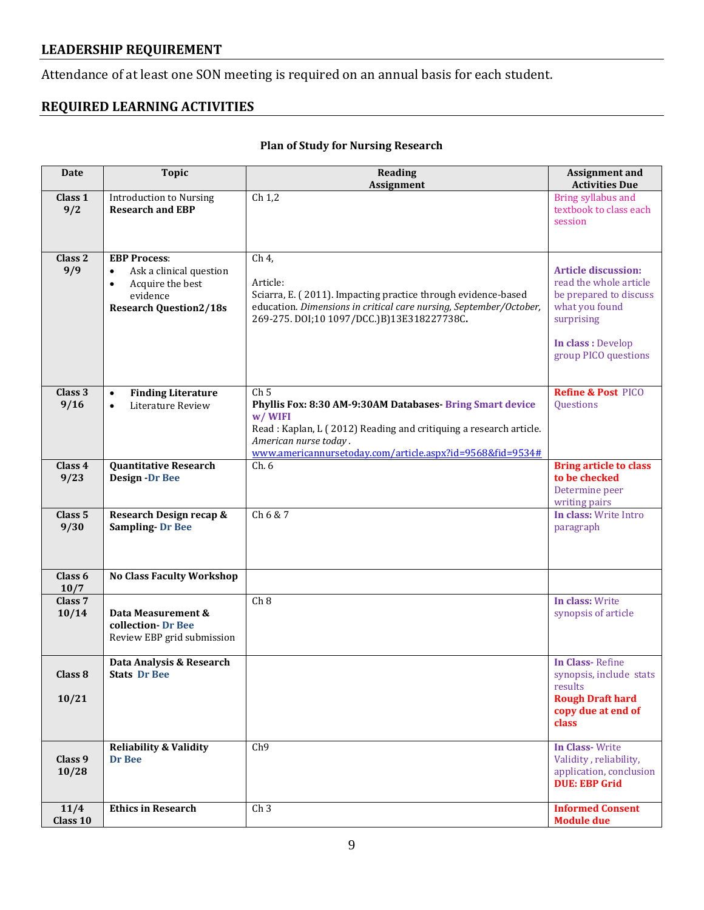# **LEADERSHIP REQUIREMENT**

Attendance of at least one SON meeting is required on an annual basis for each student.

# **REQUIRED LEARNING ACTIVITIES**

# **Plan of Study for Nursing Research**

| <b>Date</b>                 | <b>Topic</b>                                                                                                                              | <b>Reading</b><br><b>Assignment</b>                                                                                                                                                                                                               | <b>Assignment and</b><br><b>Activities Due</b>                                                                                                               |
|-----------------------------|-------------------------------------------------------------------------------------------------------------------------------------------|---------------------------------------------------------------------------------------------------------------------------------------------------------------------------------------------------------------------------------------------------|--------------------------------------------------------------------------------------------------------------------------------------------------------------|
| Class 1<br>9/2              | <b>Introduction to Nursing</b><br><b>Research and EBP</b>                                                                                 | Ch <sub>1,2</sub>                                                                                                                                                                                                                                 | Bring syllabus and<br>textbook to class each<br>session                                                                                                      |
| Class <sub>2</sub><br>9/9   | <b>EBP Process:</b><br>Ask a clinical question<br>$\bullet$<br>Acquire the best<br>$\bullet$<br>evidence<br><b>Research Question2/18s</b> | Ch 4,<br>Article:<br>Sciarra, E. (2011). Impacting practice through evidence-based<br>education. Dimensions in critical care nursing, September/October,<br>269-275. DOI;10 1097/DCC.)B)13E318227738C.                                            | <b>Article discussion:</b><br>read the whole article<br>be prepared to discuss<br>what you found<br>surprising<br>In class : Develop<br>group PICO questions |
| Class 3<br>9/16             | <b>Finding Literature</b><br>$\bullet$<br>Literature Review<br>$\bullet$                                                                  | Ch <sub>5</sub><br>Phyllis Fox: 8:30 AM-9:30AM Databases-Bring Smart device<br>w/WIFI<br>Read : Kaplan, L (2012) Reading and critiquing a research article.<br>American nurse today.<br>www.americannursetoday.com/article.aspx?id=9568&fid=9534# | <b>Refine &amp; Post PICO</b><br>Questions                                                                                                                   |
| Class 4<br>9/23             | <b>Quantitative Research</b><br><b>Design -Dr Bee</b>                                                                                     | Ch.6                                                                                                                                                                                                                                              | <b>Bring article to class</b><br>to be checked<br>Determine peer<br>writing pairs                                                                            |
| Class <sub>5</sub><br>9/30  | Research Design recap &<br><b>Sampling-Dr Bee</b>                                                                                         | Ch 6 & 7                                                                                                                                                                                                                                          | In class: Write Intro<br>paragraph                                                                                                                           |
| Class 6<br>10/7             | <b>No Class Faculty Workshop</b>                                                                                                          |                                                                                                                                                                                                                                                   |                                                                                                                                                              |
| Class <sub>7</sub><br>10/14 | Data Measurement &<br>collection-Dr Bee<br>Review EBP grid submission                                                                     | Ch <sub>8</sub>                                                                                                                                                                                                                                   | In class: Write<br>synopsis of article                                                                                                                       |
| Class 8<br>10/21            | Data Analysis & Research<br><b>Stats Dr Bee</b>                                                                                           |                                                                                                                                                                                                                                                   | In Class-Refine<br>synopsis, include stats<br>results<br><b>Rough Draft hard</b><br>copy due at end of<br>class                                              |
| Class 9<br>10/28            | <b>Reliability &amp; Validity</b><br>Dr Bee                                                                                               | Ch <sub>9</sub>                                                                                                                                                                                                                                   | <b>In Class-Write</b><br>Validity, reliability,<br>application, conclusion<br><b>DUE: EBP Grid</b>                                                           |
| 11/4<br>Class 10            | <b>Ethics in Research</b>                                                                                                                 | Ch <sub>3</sub>                                                                                                                                                                                                                                   | <b>Informed Consent</b><br><b>Module due</b>                                                                                                                 |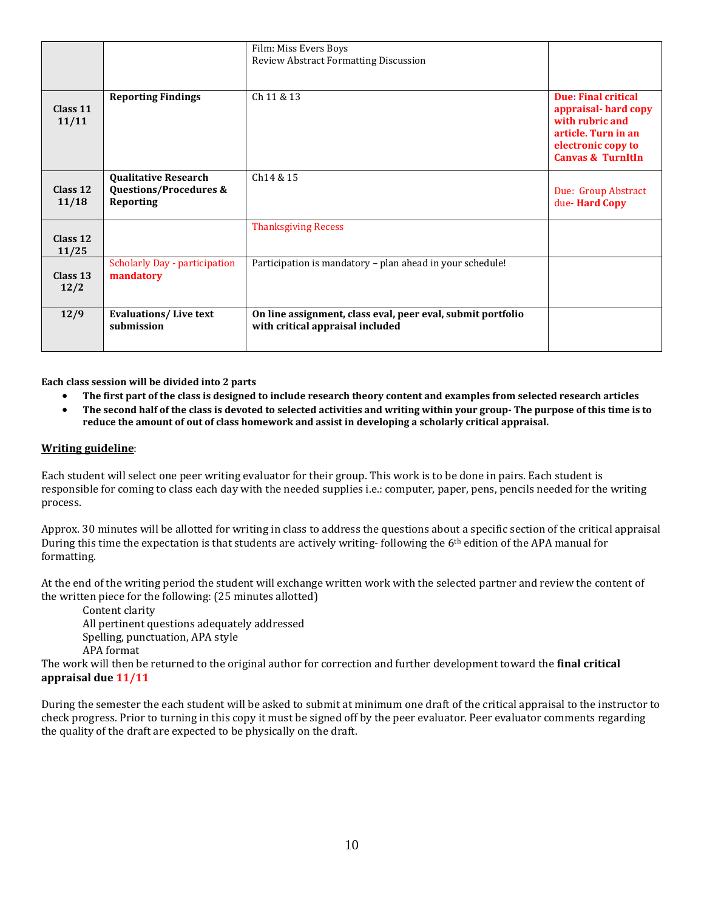|                    |                                                                               | Film: Miss Evers Boys<br><b>Review Abstract Formatting Discussion</b>                           |                                                                                                                                            |
|--------------------|-------------------------------------------------------------------------------|-------------------------------------------------------------------------------------------------|--------------------------------------------------------------------------------------------------------------------------------------------|
| Class 11<br>11/11  | <b>Reporting Findings</b>                                                     | Ch 11 & 13                                                                                      | Due: Final critical<br>appraisal-hard copy<br>with rubric and<br>article. Turn in an<br>electronic copy to<br><b>Canvas &amp; TurnItIn</b> |
| Class 12<br>11/18  | <b>Qualitative Research</b><br><b>Questions/Procedures &amp;</b><br>Reporting | Ch <sub>14</sub> & 15                                                                           | Due: Group Abstract<br>due-Hard Copy                                                                                                       |
| Class 12<br>11/25  |                                                                               | <b>Thanksgiving Recess</b>                                                                      |                                                                                                                                            |
| Class $13$<br>12/2 | <b>Scholarly Day - participation</b><br>mandatory                             | Participation is mandatory - plan ahead in your schedule!                                       |                                                                                                                                            |
| 12/9               | <b>Evaluations/Live text</b><br>submission                                    | On line assignment, class eval, peer eval, submit portfolio<br>with critical appraisal included |                                                                                                                                            |

**Each class session will be divided into 2 parts**

- **The first part of the class is designed to include research theory content and examples from selected research articles**
- **The second half of the class is devoted to selected activities and writing within your group- The purpose of this time is to reduce the amount of out of class homework and assist in developing a scholarly critical appraisal.**

#### **Writing guideline**:

Each student will select one peer writing evaluator for their group. This work is to be done in pairs. Each student is responsible for coming to class each day with the needed supplies i.e.: computer, paper, pens, pencils needed for the writing process.

Approx. 30 minutes will be allotted for writing in class to address the questions about a specific section of the critical appraisal During this time the expectation is that students are actively writing-following the 6<sup>th</sup> edition of the APA manual for formatting.

At the end of the writing period the student will exchange written work with the selected partner and review the content of the written piece for the following: (25 minutes allotted)

Content clarity All pertinent questions adequately addressed Spelling, punctuation, APA style APA format

The work will then be returned to the original author for correction and further development toward the **final critical appraisal due 11/11**

During the semester the each student will be asked to submit at minimum one draft of the critical appraisal to the instructor to check progress. Prior to turning in this copy it must be signed off by the peer evaluator. Peer evaluator comments regarding the quality of the draft are expected to be physically on the draft.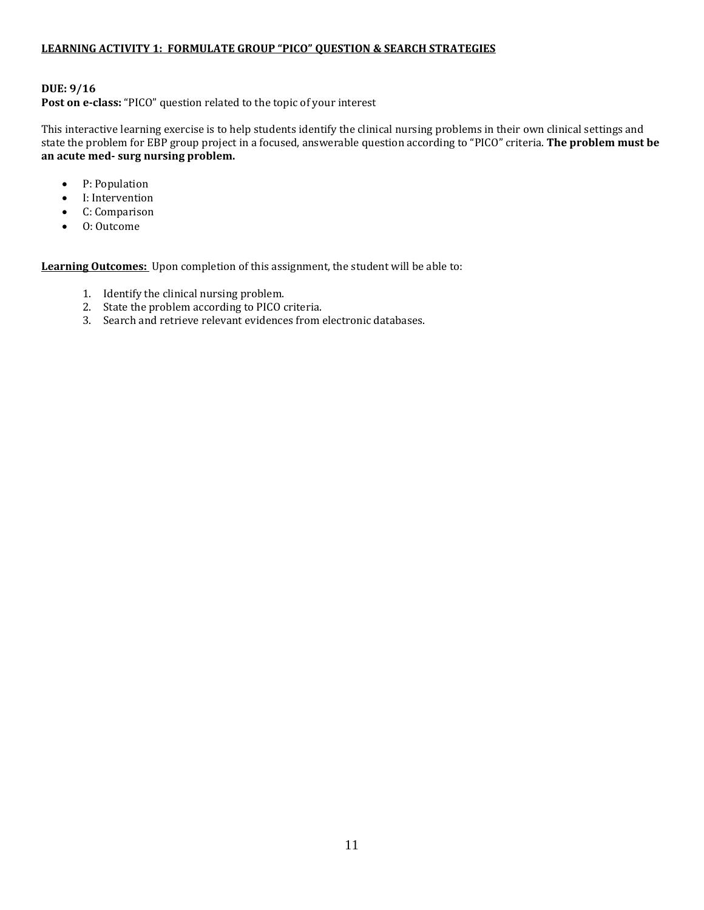### **LEARNING ACTIVITY 1: FORMULATE GROUP "PICO" QUESTION & SEARCH STRATEGIES**

### **DUE: 9/16**

**Post on e-class:** "PICO" question related to the topic of your interest

This interactive learning exercise is to help students identify the clinical nursing problems in their own clinical settings and state the problem for EBP group project in a focused, answerable question according to "PICO" criteria. **The problem must be an acute med- surg nursing problem.**

- P: Population
- I: Intervention
- C: Comparison
- O: Outcome

**Learning Outcomes:** Upon completion of this assignment, the student will be able to:

- 1. Identify the clinical nursing problem.
- 2. State the problem according to PICO criteria.
- 3. Search and retrieve relevant evidences from electronic databases.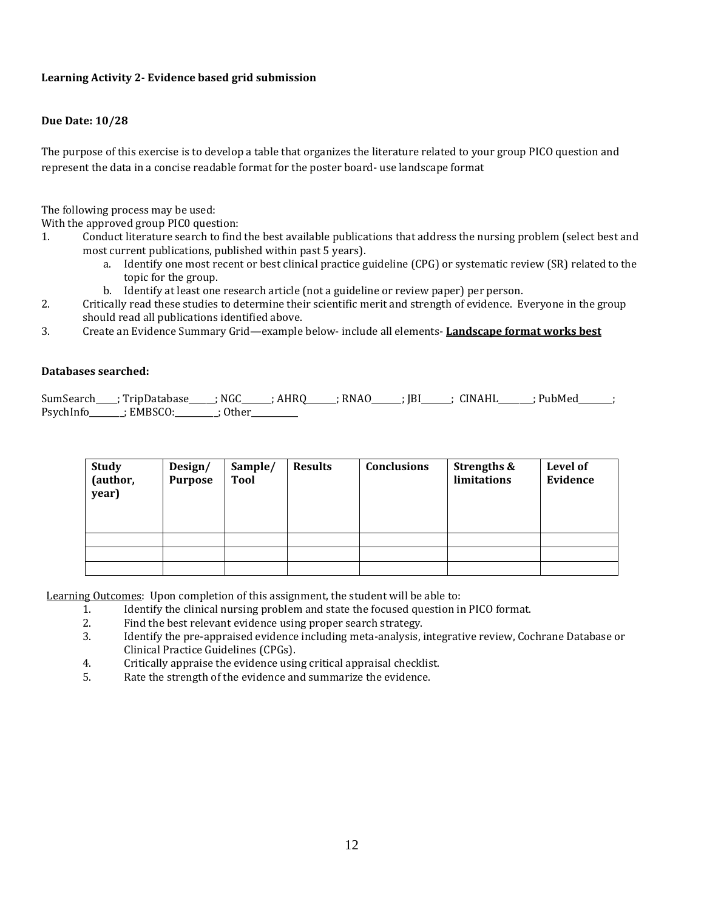### **Learning Activity 2- Evidence based grid submission**

### **Due Date: 10/28**

The purpose of this exercise is to develop a table that organizes the literature related to your group PICO question and represent the data in a concise readable format for the poster board- use landscape format

The following process may be used:

With the approved group PIC0 question:<br>1. Conduct literature search to find

- 1. Conduct literature search to find the best available publications that address the nursing problem (select best and most current publications, published within past 5 years).<br>a. Identify one most recent or best clinical practice g
	- Identify one most recent or best clinical practice guideline (CPG) or systematic review (SR) related to the topic for the group.
	- b. Identify at least one research article (not a guideline or review paper) per person.
- 2. Critically read these studies to determine their scientific merit and strength of evidence. Everyone in the group should read all publications identified above.
- 3. Create an Evidence Summary Grid—example below- include all elements- **Landscape format works best**

#### **Databases searched:**

SumSearch\_\_\_\_; TripDatabase\_\_\_\_\_; NGC\_\_\_\_\_\_; AHRQ\_\_\_\_\_\_; RNAO\_\_\_\_\_\_; JBI\_\_\_\_\_\_; CINAHL\_\_\_\_\_\_\_; PubMed\_\_\_\_\_\_; PsychInfo\_\_\_\_\_\_\_; EMBSCO:\_\_\_\_\_\_\_\_; Other\_\_\_\_\_\_\_\_\_

| <b>Study</b><br>(author,<br>year) | Design/<br><b>Purpose</b> | Sample/<br><b>Tool</b> | <b>Results</b> | <b>Conclusions</b> | <b>Strengths &amp;</b><br>limitations | Level of<br>Evidence |
|-----------------------------------|---------------------------|------------------------|----------------|--------------------|---------------------------------------|----------------------|
|                                   |                           |                        |                |                    |                                       |                      |
|                                   |                           |                        |                |                    |                                       |                      |
|                                   |                           |                        |                |                    |                                       |                      |

Learning Outcomes: Upon completion of this assignment, the student will be able to:<br>1. Identify the clinical nursing problem and state the focused question in

- 1. Identify the clinical nursing problem and state the focused question in PICO format.<br>2. Find the best relevant evidence using proper search strategy
- 2. Find the best relevant evidence using proper search strategy.<br>3. Identify the pre-appraised evidence including meta-analysis.
- 3. Identify the pre-appraised evidence including meta-analysis, integrative review, Cochrane Database or Clinical Practice Guidelines (CPGs).
- 4. Critically appraise the evidence using critical appraisal checklist.<br>5. Rate the strength of the evidence and summarize the evidence.
- Rate the strength of the evidence and summarize the evidence.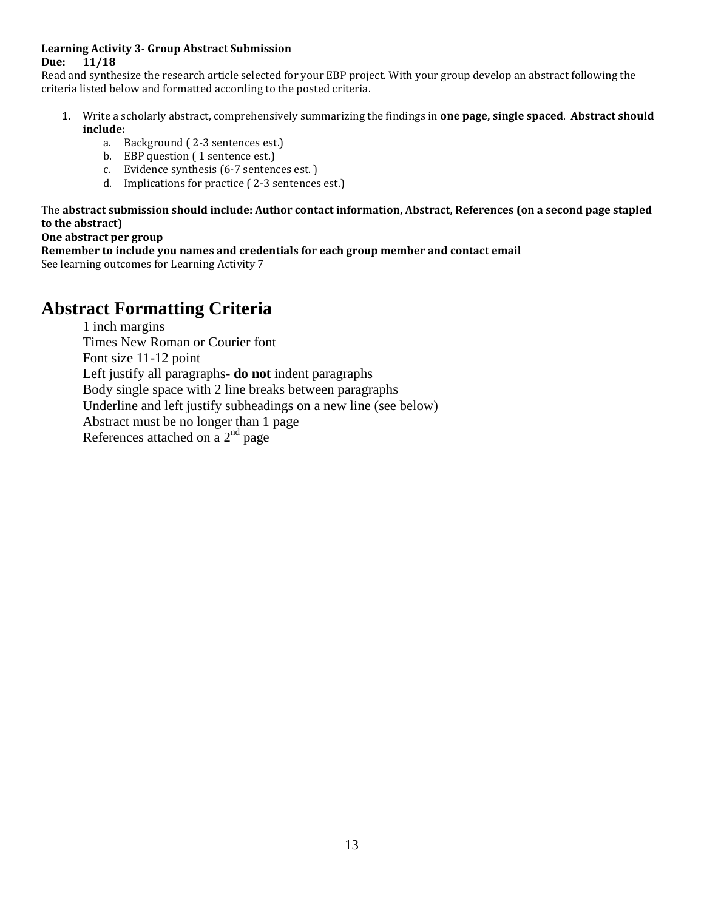### **Learning Activity 3- Group Abstract Submission Due: 11/18**

Read and synthesize the research article selected for your EBP project. With your group develop an abstract following the criteria listed below and formatted according to the posted criteria.

- 1. Write a scholarly abstract, comprehensively summarizing the findings in **one page, single spaced**. **Abstract should include:**
	- a. Background ( 2-3 sentences est.)
	- b. EBP question ( 1 sentence est.)
	- c. Evidence synthesis (6-7 sentences est. )
	- d. Implications for practice ( 2-3 sentences est.)

The **abstract submission should include: Author contact information, Abstract, References (on a second page stapled to the abstract)**

### **One abstract per group**

**Remember to include you names and credentials for each group member and contact email**

See learning outcomes for Learning Activity 7

# **Abstract Formatting Criteria**

1 inch margins Times New Roman or Courier font Font size 11-12 point Left justify all paragraphs- **do not** indent paragraphs Body single space with 2 line breaks between paragraphs Underline and left justify subheadings on a new line (see below) Abstract must be no longer than 1 page References attached on a  $2<sup>nd</sup>$  page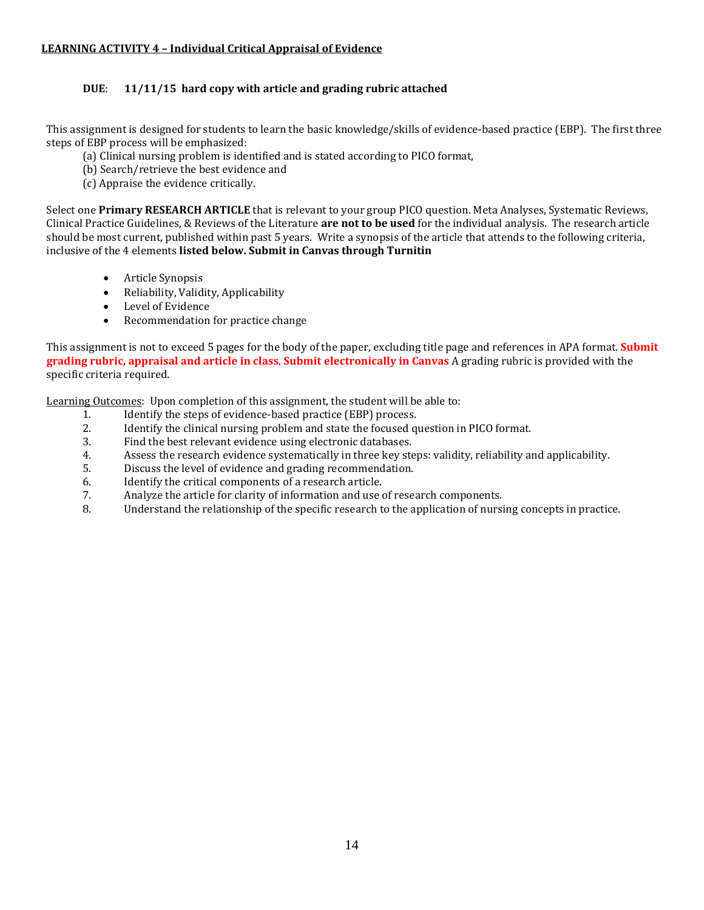### **LEARNING ACTIVITY 4 – Individual Critical Appraisal of Evidence**

### **DUE**: **11/11/15 hard copy with article and grading rubric attached**

This assignment is designed for students to learn the basic knowledge/skills of evidence-based practice (EBP). The first three steps of EBP process will be emphasized:

- (a) Clinical nursing problem is identified and is stated according to PICO format,
- (b) Search/retrieve the best evidence and
- (c) Appraise the evidence critically.

Select one **Primary RESEARCH ARTICLE** that is relevant to your group PICO question. Meta Analyses, Systematic Reviews, Clinical Practice Guidelines, & Reviews of the Literature **are not to be used** for the individual analysis. The research article should be most current, published within past 5 years. Write a synopsis of the article that attends to the following criteria, inclusive of the 4 elements **listed below. Submit in Canvas through Turnitin**

- Article Synopsis
- Reliability, Validity, Applicability
- Level of Evidence<br>• Recommendation
- Recommendation for practice change

This assignment is not to exceed 5 pages for the body of the paper, excluding title page and references in APA format. **Submit grading rubric, appraisal and article in class**. **Submit electronically in Canvas** A grading rubric is provided with the specific criteria required.

Learning Outcomes: Upon completion of this assignment, the student will be able to:<br>1. Identify the steps of evidence-based practice (EBP) process.

- 1. Identify the steps of evidence-based practice (EBP) process.<br>2. Identify the clinical nursing problem and state the focused of
- 2. Identify the clinical nursing problem and state the focused question in PICO format.<br>3. Find the best relevant evidence using electronic databases.
- 3. Find the best relevant evidence using electronic databases.<br>4. Assess the research evidence systematically in three key stem
- 4. Assess the research evidence systematically in three key steps: validity, reliability and applicability.<br>5. Discuss the level of evidence and grading recommendation.
- 5. Discuss the level of evidence and grading recommendation.<br>6. Identify the critical components of a research article.
- 6. Identify the critical components of a research article.<br>
7. Analyze the article for clarity of information and use
- 7. Analyze the article for clarity of information and use of research components.
- Understand the relationship of the specific research to the application of nursing concepts in practice.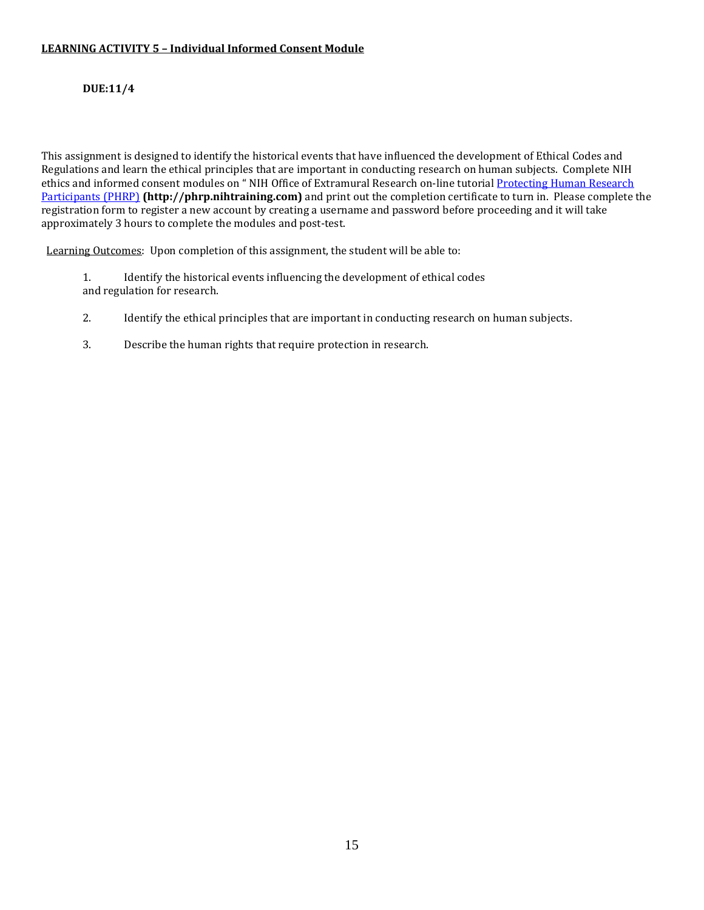### **LEARNING ACTIVITY 5 – Individual Informed Consent Module**

### **DUE:11/4**

This assignment is designed to identify the historical events that have influenced the development of Ethical Codes and Regulations and learn the ethical principles that are important in conducting research on human subjects. Complete NIH ethics and informed consent modules on "NIH Office of Extramural Research on-line tutorial **Protecting Human Research** [Participants \(PHRP\)](https://mail.pointloma.edu/exchweb/bin/redir.asp?URL=http://phrp.nihtraining.com/users/login.php) **(http://phrp.nihtraining.com)** and print out the completion certificate to turn in. Please complete the registration form to register a new account by creating a username and password before proceeding and it will take approximately 3 hours to complete the modules and post-test.

Learning Outcomes: Upon completion of this assignment, the student will be able to:

- 1. Identify the historical events influencing the development of ethical codes and regulation for research.
- 2. Identify the ethical principles that are important in conducting research on human subjects.
- 3. Describe the human rights that require protection in research.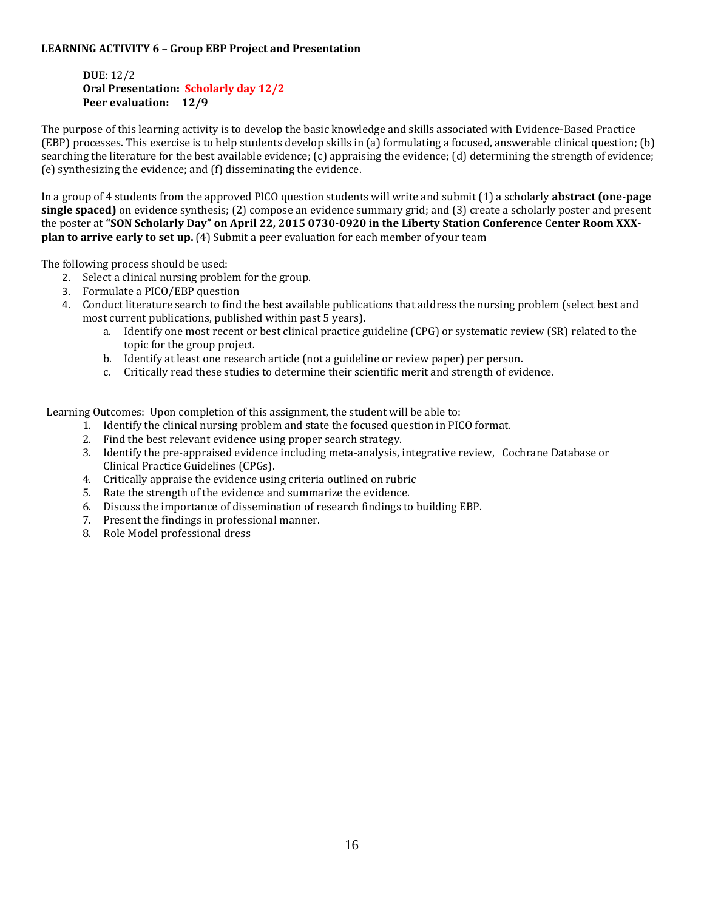### **LEARNING ACTIVITY 6 – Group EBP Project and Presentation**

### **DUE**: 12/2 **Oral Presentation: Scholarly day 12/2 Peer evaluation: 12/9**

The purpose of this learning activity is to develop the basic knowledge and skills associated with Evidence-Based Practice (EBP) processes. This exercise is to help students develop skills in (a) formulating a focused, answerable clinical question; (b) searching the literature for the best available evidence; (c) appraising the evidence; (d) determining the strength of evidence; (e) synthesizing the evidence; and (f) disseminating the evidence.

In a group of 4 students from the approved PICO question students will write and submit (1) a scholarly **abstract (one-page single spaced)** on evidence synthesis; (2) compose an evidence summary grid; and (3) create a scholarly poster and present the poster at **"SON Scholarly Day" on April 22, 2015 0730-0920 in the Liberty Station Conference Center Room XXXplan to arrive early to set up.** (4) Submit a peer evaluation for each member of your team

The following process should be used:

- 2. Select a clinical nursing problem for the group.
- 3. Formulate a PICO/EBP question
- 4. Conduct literature search to find the best available publications that address the nursing problem (select best and most current publications, published within past 5 years).
	- a. Identify one most recent or best clinical practice guideline (CPG) or systematic review (SR) related to the topic for the group project.
	- b. Identify at least one research article (not a guideline or review paper) per person.
	- c. Critically read these studies to determine their scientific merit and strength of evidence.

Learning Outcomes: Upon completion of this assignment, the student will be able to:

- 1. Identify the clinical nursing problem and state the focused question in PICO format.
- 2. Find the best relevant evidence using proper search strategy.
- 3. Identify the pre-appraised evidence including meta-analysis, integrative review, Cochrane Database or Clinical Practice Guidelines (CPGs).
- 4. Critically appraise the evidence using criteria outlined on rubric
- 5. Rate the strength of the evidence and summarize the evidence.
- 6. Discuss the importance of dissemination of research findings to building EBP.
- 7. Present the findings in professional manner.
- 8. Role Model professional dress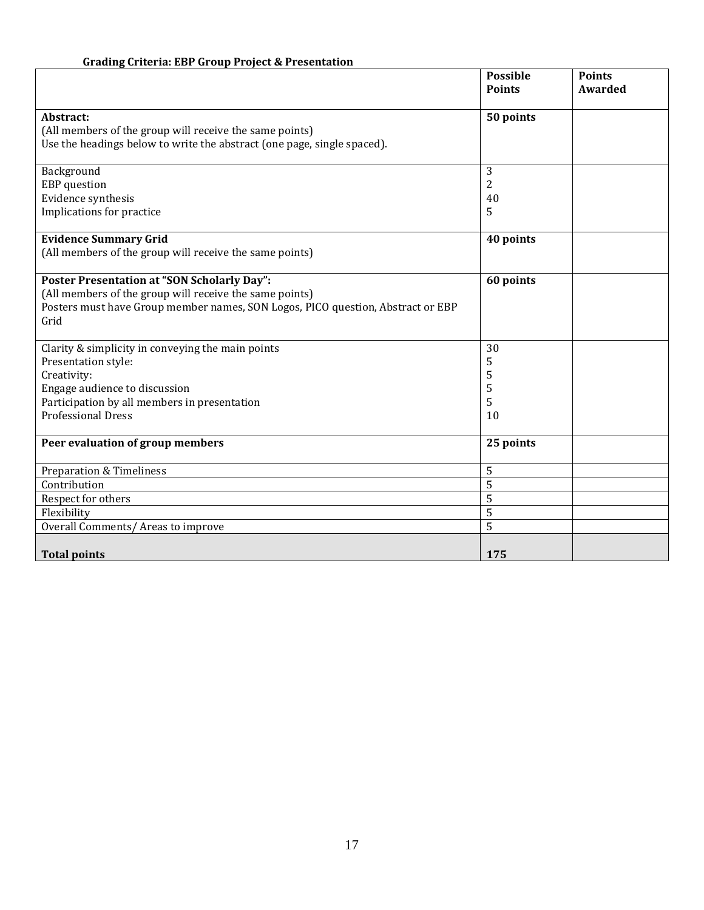# **Grading Criteria: EBP Group Project & Presentation**

|                                                                                 | <b>Possible</b><br><b>Points</b> | <b>Points</b><br>Awarded |
|---------------------------------------------------------------------------------|----------------------------------|--------------------------|
| Abstract:                                                                       | 50 points                        |                          |
| (All members of the group will receive the same points)                         |                                  |                          |
| Use the headings below to write the abstract (one page, single spaced).         |                                  |                          |
|                                                                                 |                                  |                          |
| Background                                                                      | 3                                |                          |
| <b>EBP</b> question                                                             | 2                                |                          |
| Evidence synthesis                                                              | 40                               |                          |
| Implications for practice                                                       | 5                                |                          |
| <b>Evidence Summary Grid</b>                                                    | 40 points                        |                          |
| (All members of the group will receive the same points)                         |                                  |                          |
|                                                                                 |                                  |                          |
| <b>Poster Presentation at "SON Scholarly Day":</b>                              | 60 points                        |                          |
| (All members of the group will receive the same points)                         |                                  |                          |
| Posters must have Group member names, SON Logos, PICO question, Abstract or EBP |                                  |                          |
| Grid                                                                            |                                  |                          |
|                                                                                 |                                  |                          |
| Clarity & simplicity in conveying the main points                               | 30                               |                          |
| Presentation style:                                                             | 5                                |                          |
| Creativity:                                                                     | 5                                |                          |
| Engage audience to discussion                                                   | 5                                |                          |
| Participation by all members in presentation<br><b>Professional Dress</b>       | 5                                |                          |
|                                                                                 | 10                               |                          |
| Peer evaluation of group members                                                | 25 points                        |                          |
|                                                                                 |                                  |                          |
| <b>Preparation &amp; Timeliness</b>                                             | 5                                |                          |
| Contribution                                                                    | 5                                |                          |
| Respect for others                                                              | 5                                |                          |
| Flexibility                                                                     | 5                                |                          |
| Overall Comments/ Areas to improve                                              | 5                                |                          |
|                                                                                 |                                  |                          |
| <b>Total points</b>                                                             | 175                              |                          |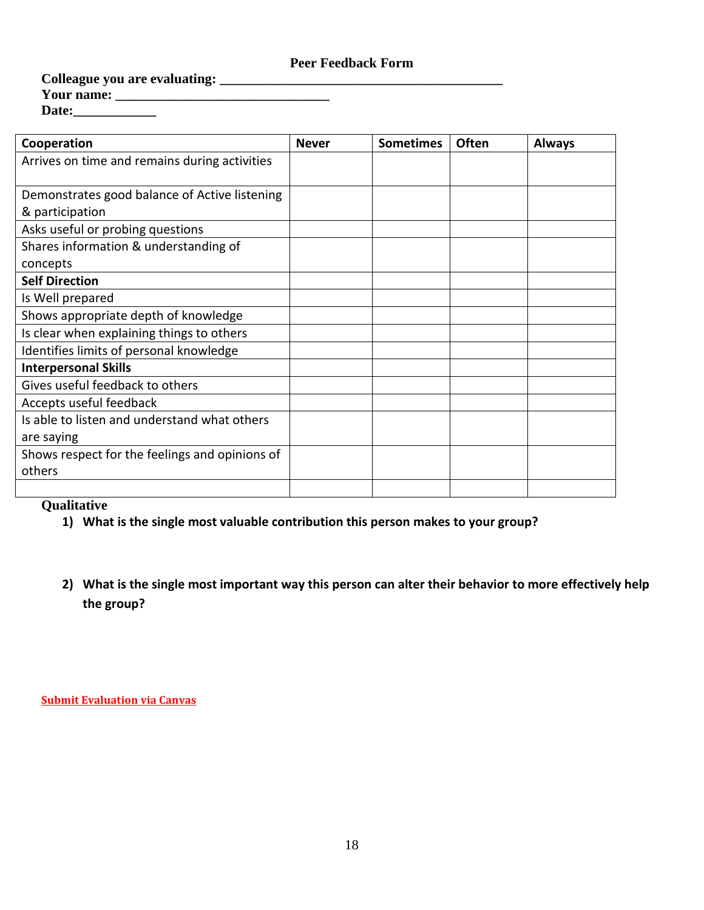### **Peer Feedback Form**

**Colleague you are evaluating: \_\_\_\_\_\_\_\_\_\_\_\_\_\_\_\_\_\_\_\_\_\_\_\_\_\_\_\_\_\_\_\_\_\_\_\_\_\_\_\_\_ Your name: \_\_\_\_\_\_\_\_\_\_\_\_\_\_\_\_\_\_\_\_\_\_\_\_\_\_\_\_\_\_\_**

| Date: |  |
|-------|--|
|       |  |

| Cooperation                                    | <b>Never</b> | <b>Sometimes</b> | <b>Often</b> | <b>Always</b> |
|------------------------------------------------|--------------|------------------|--------------|---------------|
| Arrives on time and remains during activities  |              |                  |              |               |
|                                                |              |                  |              |               |
| Demonstrates good balance of Active listening  |              |                  |              |               |
| & participation                                |              |                  |              |               |
| Asks useful or probing questions               |              |                  |              |               |
| Shares information & understanding of          |              |                  |              |               |
| concepts                                       |              |                  |              |               |
| <b>Self Direction</b>                          |              |                  |              |               |
| Is Well prepared                               |              |                  |              |               |
| Shows appropriate depth of knowledge           |              |                  |              |               |
| Is clear when explaining things to others      |              |                  |              |               |
| Identifies limits of personal knowledge        |              |                  |              |               |
| <b>Interpersonal Skills</b>                    |              |                  |              |               |
| Gives useful feedback to others                |              |                  |              |               |
| Accepts useful feedback                        |              |                  |              |               |
| Is able to listen and understand what others   |              |                  |              |               |
| are saying                                     |              |                  |              |               |
| Shows respect for the feelings and opinions of |              |                  |              |               |
| others                                         |              |                  |              |               |
|                                                |              |                  |              |               |

### **Qualitative**

- **1) What is the single most valuable contribution this person makes to your group?**
- **2) What is the single most important way this person can alter their behavior to more effectively help the group?**

**Submit Evaluation via Canvas**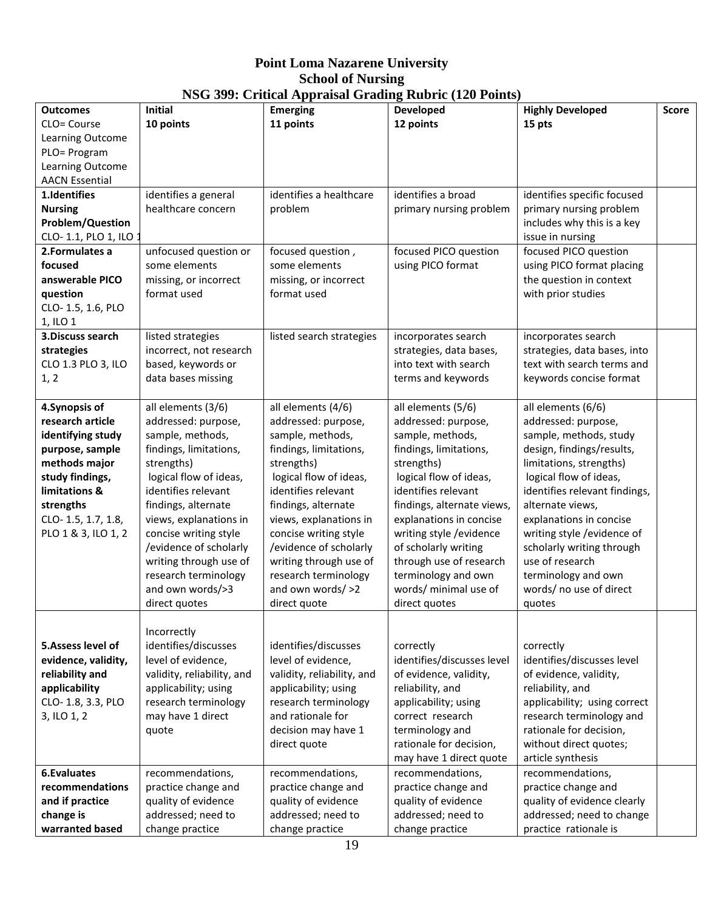# **Point Loma Nazarene University School of Nursing NSG 399: Critical Appraisal Grading Rubric (120 Points)**

|                         |                            |                            | $1000$ $222$ , Critical Appraisar Graumg Rubric (120 Follits) |                               |       |
|-------------------------|----------------------------|----------------------------|---------------------------------------------------------------|-------------------------------|-------|
| <b>Outcomes</b>         | <b>Initial</b>             | <b>Emerging</b>            | <b>Developed</b>                                              | <b>Highly Developed</b>       | Score |
| CLO= Course             | 10 points                  | 11 points                  | 12 points                                                     | 15 pts                        |       |
| Learning Outcome        |                            |                            |                                                               |                               |       |
| PLO= Program            |                            |                            |                                                               |                               |       |
| Learning Outcome        |                            |                            |                                                               |                               |       |
| <b>AACN Essential</b>   |                            |                            |                                                               |                               |       |
| 1.Identifies            | identifies a general       | identifies a healthcare    | identifies a broad                                            | identifies specific focused   |       |
| <b>Nursing</b>          | healthcare concern         | problem                    | primary nursing problem                                       | primary nursing problem       |       |
| <b>Problem/Question</b> |                            |                            |                                                               | includes why this is a key    |       |
| CLO-1.1, PLO 1, ILO :   |                            |                            |                                                               | issue in nursing              |       |
| 2.Formulates a          | unfocused question or      | focused question,          | focused PICO question                                         | focused PICO question         |       |
| focused                 | some elements              | some elements              | using PICO format                                             | using PICO format placing     |       |
| answerable PICO         | missing, or incorrect      | missing, or incorrect      |                                                               | the question in context       |       |
| question                | format used                | format used                |                                                               | with prior studies            |       |
| CLO-1.5, 1.6, PLO       |                            |                            |                                                               |                               |       |
| 1, ILO 1                |                            |                            |                                                               |                               |       |
| 3. Discuss search       | listed strategies          | listed search strategies   | incorporates search                                           | incorporates search           |       |
|                         |                            |                            |                                                               |                               |       |
| strategies              | incorrect, not research    |                            | strategies, data bases,<br>into text with search              | strategies, data bases, into  |       |
| CLO 1.3 PLO 3, ILO      | based, keywords or         |                            |                                                               | text with search terms and    |       |
| 1, 2                    | data bases missing         |                            | terms and keywords                                            | keywords concise format       |       |
|                         |                            |                            |                                                               |                               |       |
| 4. Synopsis of          | all elements (3/6)         | all elements (4/6)         | all elements (5/6)                                            | all elements (6/6)            |       |
| research article        | addressed: purpose,        | addressed: purpose,        | addressed: purpose,                                           | addressed: purpose,           |       |
| identifying study       | sample, methods,           | sample, methods,           | sample, methods,                                              | sample, methods, study        |       |
| purpose, sample         | findings, limitations,     | findings, limitations,     | findings, limitations,                                        | design, findings/results,     |       |
| methods major           | strengths)                 | strengths)                 | strengths)                                                    | limitations, strengths)       |       |
| study findings,         | logical flow of ideas,     | logical flow of ideas,     | logical flow of ideas,                                        | logical flow of ideas,        |       |
| limitations &           | identifies relevant        | identifies relevant        | identifies relevant                                           | identifies relevant findings, |       |
| strengths               | findings, alternate        | findings, alternate        | findings, alternate views,                                    | alternate views,              |       |
| CLO-1.5, 1.7, 1.8,      | views, explanations in     | views, explanations in     | explanations in concise                                       | explanations in concise       |       |
| PLO 1 & 3, ILO 1, 2     | concise writing style      | concise writing style      | writing style / evidence                                      | writing style /evidence of    |       |
|                         | /evidence of scholarly     | /evidence of scholarly     | of scholarly writing                                          | scholarly writing through     |       |
|                         | writing through use of     | writing through use of     | through use of research                                       | use of research               |       |
|                         | research terminology       | research terminology       | terminology and own                                           | terminology and own           |       |
|                         |                            |                            |                                                               | words/ no use of direct       |       |
|                         | and own words/>3           | and own words/ >2          | words/ minimal use of                                         |                               |       |
|                         | direct quotes              | direct quote               | direct quotes                                                 | quotes                        |       |
|                         |                            |                            |                                                               |                               |       |
|                         | Incorrectly                |                            |                                                               |                               |       |
| 5. Assess level of      | identifies/discusses       | identifies/discusses       | correctly                                                     | correctly                     |       |
| evidence, validity,     | level of evidence,         | level of evidence,         | identifies/discusses level                                    | identifies/discusses level    |       |
| reliability and         | validity, reliability, and | validity, reliability, and | of evidence, validity,                                        | of evidence, validity,        |       |
| applicability           | applicability; using       | applicability; using       | reliability, and                                              | reliability, and              |       |
| CLO-1.8, 3.3, PLO       | research terminology       | research terminology       | applicability; using                                          | applicability; using correct  |       |
| 3, ILO 1, 2             | may have 1 direct          | and rationale for          | correct research                                              | research terminology and      |       |
|                         | quote                      | decision may have 1        | terminology and                                               | rationale for decision,       |       |
|                         |                            | direct quote               | rationale for decision,                                       | without direct quotes;        |       |
|                         |                            |                            | may have 1 direct quote                                       | article synthesis             |       |
| <b>6.Evaluates</b>      | recommendations,           | recommendations,           | recommendations,                                              | recommendations,              |       |
| recommendations         | practice change and        | practice change and        | practice change and                                           | practice change and           |       |
| and if practice         | quality of evidence        | quality of evidence        | quality of evidence                                           | quality of evidence clearly   |       |
| change is               | addressed; need to         | addressed; need to         | addressed; need to                                            | addressed; need to change     |       |
|                         |                            |                            |                                                               |                               |       |
| warranted based         | change practice            | change practice            | change practice                                               | practice rationale is         |       |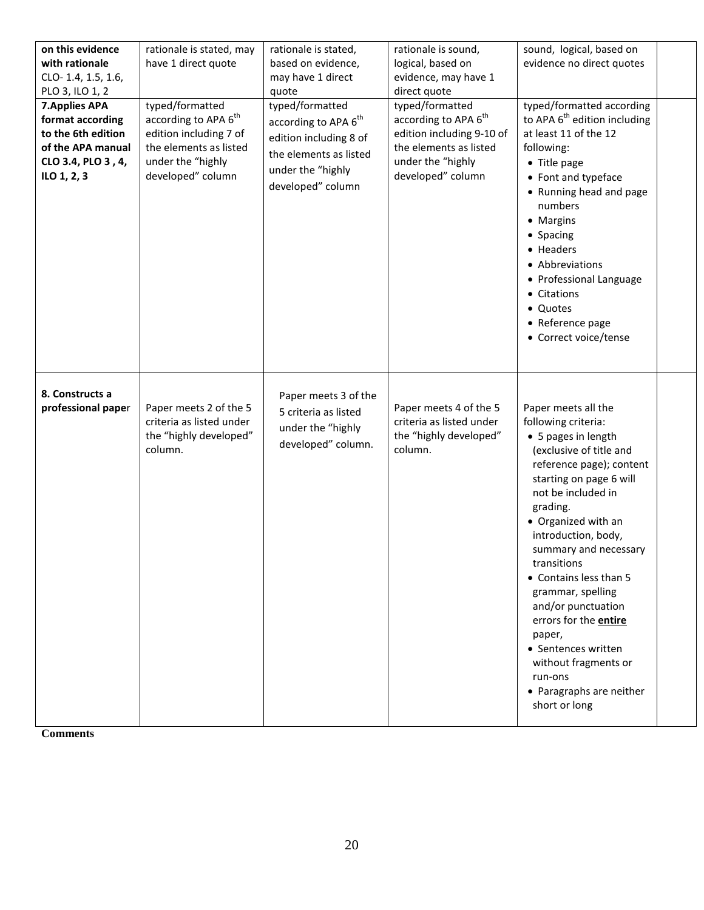| on this evidence<br>with rationale<br>CLO-1.4, 1.5, 1.6,<br>PLO 3, ILO 1, 2<br><b>7. Applies APA</b><br>format according<br>to the 6th edition<br>of the APA manual<br>CLO 3.4, PLO 3, 4,<br>ILO 1, 2, 3 | rationale is stated, may<br>have 1 direct quote<br>typed/formatted<br>according to APA 6 <sup>th</sup><br>edition including 7 of<br>the elements as listed<br>under the "highly<br>developed" column | rationale is stated,<br>based on evidence,<br>may have 1 direct<br>quote<br>typed/formatted<br>according to APA 6 <sup>th</sup><br>edition including 8 of<br>the elements as listed<br>under the "highly<br>developed" column | rationale is sound,<br>logical, based on<br>evidence, may have 1<br>direct quote<br>typed/formatted<br>according to APA 6 <sup>th</sup><br>edition including 9-10 of<br>the elements as listed<br>under the "highly<br>developed" column | sound, logical, based on<br>evidence no direct quotes<br>typed/formatted according<br>to APA 6 <sup>th</sup> edition including<br>at least 11 of the 12<br>following:<br>• Title page<br>• Font and typeface<br>• Running head and page<br>numbers<br>• Margins<br>• Spacing<br>• Headers<br>• Abbreviations<br>• Professional Language<br>• Citations<br>• Quotes<br>• Reference page<br>• Correct voice/tense                                                                                   |
|----------------------------------------------------------------------------------------------------------------------------------------------------------------------------------------------------------|------------------------------------------------------------------------------------------------------------------------------------------------------------------------------------------------------|-------------------------------------------------------------------------------------------------------------------------------------------------------------------------------------------------------------------------------|------------------------------------------------------------------------------------------------------------------------------------------------------------------------------------------------------------------------------------------|---------------------------------------------------------------------------------------------------------------------------------------------------------------------------------------------------------------------------------------------------------------------------------------------------------------------------------------------------------------------------------------------------------------------------------------------------------------------------------------------------|
| 8. Constructs a<br>professional paper                                                                                                                                                                    | Paper meets 2 of the 5<br>criteria as listed under<br>the "highly developed"<br>column.                                                                                                              | Paper meets 3 of the<br>5 criteria as listed<br>under the "highly<br>developed" column.                                                                                                                                       | Paper meets 4 of the 5<br>criteria as listed under<br>the "highly developed"<br>column.                                                                                                                                                  | Paper meets all the<br>following criteria:<br>• 5 pages in length<br>(exclusive of title and<br>reference page); content<br>starting on page 6 will<br>not be included in<br>grading.<br>• Organized with an<br>introduction, body,<br>summary and necessary<br>transitions<br>• Contains less than 5<br>grammar, spelling<br>and/or punctuation<br>errors for the <b>entire</b><br>paper,<br>• Sentences written<br>without fragments or<br>run-ons<br>• Paragraphs are neither<br>short or long |

**Comments**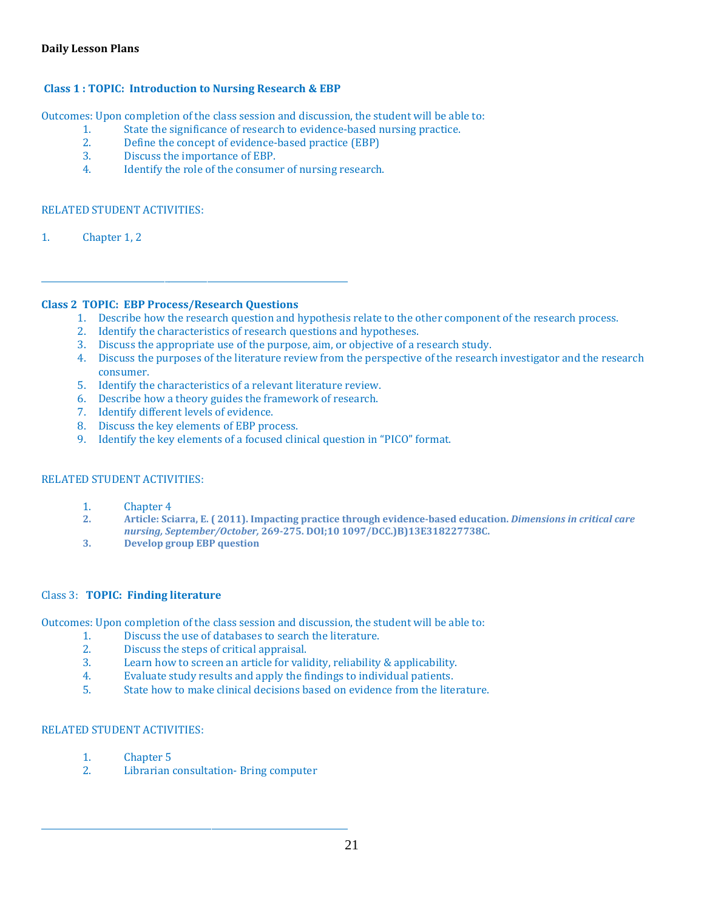### **Daily Lesson Plans**

### **Class 1 : TOPIC: Introduction to Nursing Research & EBP**

Outcomes: Upon completion of the class session and discussion, the student will be able to:

- 1. State the significance of research to evidence-based nursing practice.<br>2. Define the concent of evidence-based practice (EBP)
- 2. Define the concept of evidence-based practice (EBP)<br>3. Discuss the importance of EBP.
- 3. Discuss the importance of EBP.<br>4. Identify the role of the consume
- Identify the role of the consumer of nursing research.

### RELATED STUDENT ACTIVITIES:

1. Chapter 1, 2

### **Class 2 TOPIC: EBP Process/Research Questions**

\_\_\_\_\_\_\_\_\_\_\_\_\_\_\_\_\_\_\_\_\_\_\_\_\_\_\_\_\_\_\_\_\_\_\_\_\_\_\_\_\_\_\_\_\_\_\_\_\_\_\_\_\_\_\_\_\_\_\_\_\_\_\_\_\_\_\_\_\_\_\_\_

- 1. Describe how the research question and hypothesis relate to the other component of the research process.
- 2. Identify the characteristics of research questions and hypotheses.
- 3. Discuss the appropriate use of the purpose, aim, or objective of a research study.
- 4. Discuss the purposes of the literature review from the perspective of the research investigator and the research consumer.
- 5. Identify the characteristics of a relevant literature review.
- 6. Describe how a theory guides the framework of research.
- 7. Identify different levels of evidence.
- 8. Discuss the key elements of EBP process.
- 9. Identify the key elements of a focused clinical question in "PICO" format.

#### RELATED STUDENT ACTIVITIES:

- 1. Chapter 4<br>2. Article: Sci
- **2. Article: Sciarra, E. ( 2011). Impacting practice through evidence-based education.** *Dimensions in critical care nursing, September/October,* **269-275. DOI;10 1097/DCC.)B)13E318227738C.**
- **3. Develop group EBP question**

#### Class 3: **TOPIC: Finding literature**

Outcomes: Upon completion of the class session and discussion, the student will be able to:

- 1. Discuss the use of databases to search the literature.<br>2. Discuss the steps of critical appraisal.
- 2. Discuss the steps of critical appraisal.<br>3. Learn how to screen an article for vali
- 3. Learn how to screen an article for validity, reliability & applicability.<br>4. Evaluate study results and apply the findings to individual patients.
- 4. Evaluate study results and apply the findings to individual patients.<br>5. State how to make clinical decisions based on evidence from the lite
- 5. State how to make clinical decisions based on evidence from the literature.

#### RELATED STUDENT ACTIVITIES:

- 1. Chapter 5<br>2. Librarian
- 2. Librarian consultation- Bring computer

\_\_\_\_\_\_\_\_\_\_\_\_\_\_\_\_\_\_\_\_\_\_\_\_\_\_\_\_\_\_\_\_\_\_\_\_\_\_\_\_\_\_\_\_\_\_\_\_\_\_\_\_\_\_\_\_\_\_\_\_\_\_\_\_\_\_\_\_\_\_\_\_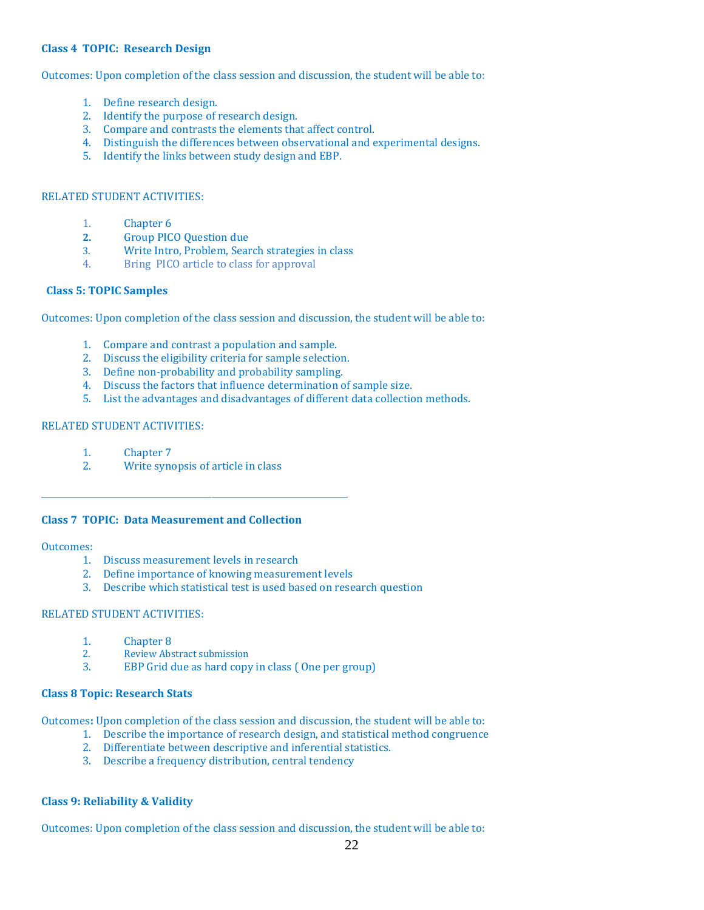#### **Class 4 TOPIC: Research Design**

Outcomes: Upon completion of the class session and discussion, the student will be able to:

- 1. Define research design.
- 2. Identify the purpose of research design.
- 3. Compare and contrasts the elements that affect control.
- 4. Distinguish the differences between observational and experimental designs.
- 5. Identify the links between study design and EBP.

#### RELATED STUDENT ACTIVITIES:

- 1. Chapter 6<br>2. Group PIC
- **2.** Group PICO Question due<br> **2.** Write Intro. Problem. Sear
- 3. Write Intro, Problem, Search strategies in class<br>4. Bring PICO article to class for approval
- Bring PICO article to class for approval

#### **Class 5: TOPIC Samples**

Outcomes: Upon completion of the class session and discussion, the student will be able to:

- 1. Compare and contrast a population and sample.
- 2. Discuss the eligibility criteria for sample selection.
- 3. Define non-probability and probability sampling.
- 4. Discuss the factors that influence determination of sample size.
- 5. List the advantages and disadvantages of different data collection methods.

#### RELATED STUDENT ACTIVITIES:

- 1. Chapter 7<br>2. Write syne
- Write synopsis of article in class

#### **Class 7 TOPIC: Data Measurement and Collection**

#### Outcomes:

1. Discuss measurement levels in research

\_\_\_\_\_\_\_\_\_\_\_\_\_\_\_\_\_\_\_\_\_\_\_\_\_\_\_\_\_\_\_\_\_\_\_\_\_\_\_\_\_\_\_\_\_\_\_\_\_\_\_\_\_\_\_\_\_\_\_\_\_\_\_\_\_\_\_\_\_\_\_\_

- 2. Define importance of knowing measurement levels
- 3. Describe which statistical test is used based on research question

#### RELATED STUDENT ACTIVITIES:

- 1. Chapter 8<br>2. Review Abs
- 2. Review Abstract submission<br>3. EBP Grid due as hard copy
- EBP Grid due as hard copy in class (One per group)

#### **Class 8 Topic: Research Stats**

Outcomes**:** Upon completion of the class session and discussion, the student will be able to:

- 1. Describe the importance of research design, and statistical method congruence
- 2. Differentiate between descriptive and inferential statistics.
- 3. Describe a frequency distribution, central tendency

#### **Class 9: Reliability & Validity**

Outcomes: Upon completion of the class session and discussion, the student will be able to: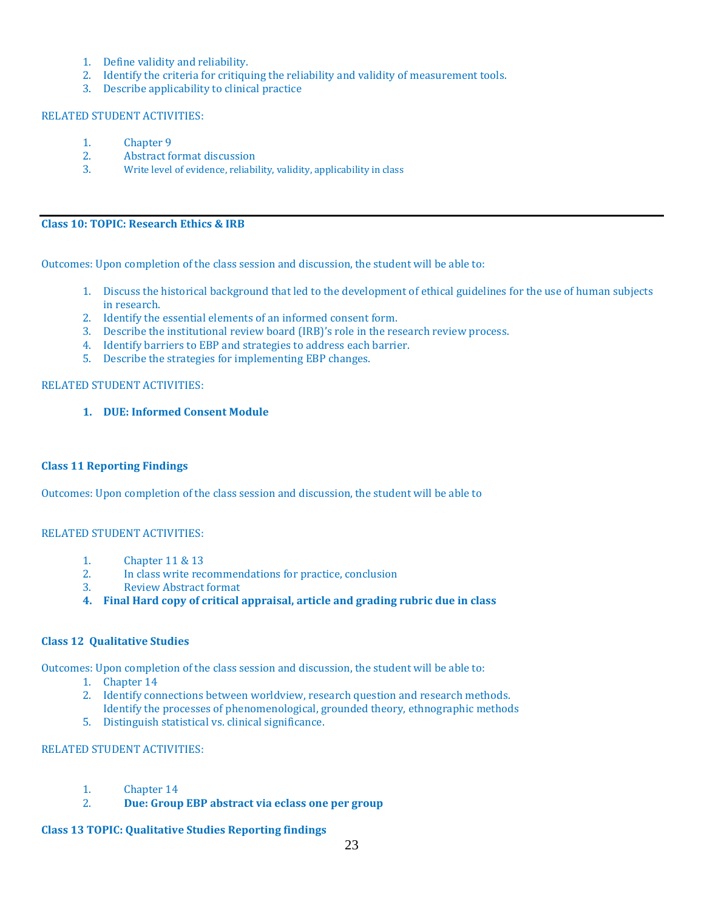- 1. Define validity and reliability.
- 2. Identify the criteria for critiquing the reliability and validity of measurement tools.
- 3. Describe applicability to clinical practice

#### RELATED STUDENT ACTIVITIES:

- 1. Chapter 9<br>2. Abstract for
- 2. Abstract format discussion<br>3. Write level of evidence, reliabi
- Write level of evidence, reliability, validity, applicability in class

### **Class 10: TOPIC: Research Ethics & IRB**

Outcomes: Upon completion of the class session and discussion, the student will be able to:

- 1. Discuss the historical background that led to the development of ethical guidelines for the use of human subjects in research.
- 2. Identify the essential elements of an informed consent form.
- 3. Describe the institutional review board (IRB)'s role in the research review process.
- 4. Identify barriers to EBP and strategies to address each barrier.
- 5. Describe the strategies for implementing EBP changes.

### RELATED STUDENT ACTIVITIES:

**1. DUE: Informed Consent Module**

#### **Class 11 Reporting Findings**

Outcomes: Upon completion of the class session and discussion, the student will be able to

#### RELATED STUDENT ACTIVITIES:

- 1. Chapter 11 & 13<br>2. In class write rec
- 2. In class write recommendations for practice, conclusion<br>3. Review Abstract format
- 3. Review Abstract format
- **4. Final Hard copy of critical appraisal, article and grading rubric due in class**

### **Class 12 Qualitative Studies**

Outcomes: Upon completion of the class session and discussion, the student will be able to:

- 1. Chapter 14
- 2. Identify connections between worldview, research question and research methods. Identify the processes of phenomenological, grounded theory, ethnographic methods
- 5. Distinguish statistical vs. clinical significance.

### RELATED STUDENT ACTIVITIES:

- 1. Chapter 14<br>2. **Due: Group**
- 2. **Due: Group EBP abstract via eclass one per group**

#### **Class 13 TOPIC: Qualitative Studies Reporting findings**